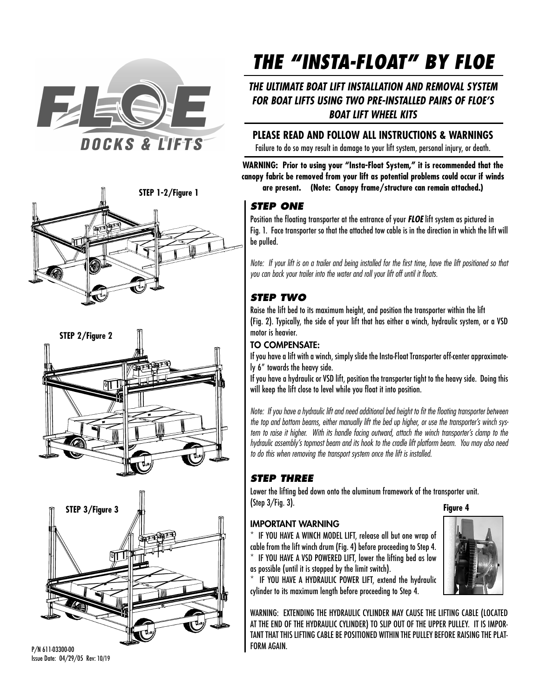







P/N 611-03300-00 Issue Date: 04/29/05 Rev: 10/19

# **THE "INSTA-FLOAT" BY FLOE**

## **THE ULTIMATE BOAT LIFT INSTALLATION AND REMOVAL SYSTEM FOR BOAT LIFTS USING TWO PRE-INSTALLED PAIRS OF FLOE'S BOAT LIFT WHEEL KITS**

## **PLEASE READ AND FOLLOW ALL INSTRUCTIONS & WARNINGS**

Failure to do so may result in damage to your lift system, personal injury, or death.

**WARNING: Prior to using your "Insta-Float System," it is recommended that the canopy fabric be removed from your lift as potential problems could occur if winds are present. (Note: Canopy frame/structure can remain attached.) STEP 1-2/Figure 1**

## **STEP ONE**

Position the floating transporter at the entrance of your **FLOE** lift system as pictured in Fig. 1. Face transporter so that the attached tow cable is in the direction in which the lift will be pulled.

Note: If your lift is on a trailer and being installed for the first time, have the lift positioned so that you can back your trailer into the water and roll your lift off until it floats.

# **STEP TWO**

Raise the lift bed to its maximum height, and position the transporter within the lift (Fig. 2). Typically, the side of your lift that has either a winch, hydraulic system, or a VSD motor is heavier.

## TO COMPENSATE:

If you have a lift with a winch, simply slide the Insta-Float Transporter off-center approximately 6" towards the heavy side.

If you have a hydraulic or VSD lift, position the transporter tight to the heavy side. Doing this will keep the lift close to level while you float it into position.

Note: If you have a hydraulic lift and need additional bed height to fit the floating transporter between the top and bottom beams, either manually lift the bed up higher, or use the transporter's winch system to raise it higher. With its handle facing outward, attach the winch transporter's clamp to the hydraulic assembly's topmost beam and its hook to the cradle lift platform beam. You may also need to do this when removing the transport system once the lift is installed.

# **STEP THREE**

Lower the lifting bed down onto the aluminum framework of the transporter unit. (Step 3/Fig. 3). **Figure 4**

## IMPORTANT WARNING

\* IF YOU HAVE A WINCH MODEL LIFT, release all but one wrap of cable from the lift winch drum (Fig. 4) before proceeding to Step 4. \* IF YOU HAVE A VSD POWERED LIFT, lower the lifting bed as low as possible (until it is stopped by the limit switch).



IF YOU HAVE A HYDRAULIC POWER LIFT, extend the hydraulic cylinder to its maximum length before proceeding to Step 4.

WARNING: EXTENDING THE HYDRAULIC CYLINDER MAY CAUSE THE LIFTING CABLE (LOCATED AT THE END OF THE HYDRAULIC CYLINDER) TO SLIP OUT OF THE UPPER PULLEY. IT IS IMPOR-TANT THAT THIS LIFTING CABLE BE POSITIONED WITHIN THE PULLEY BEFORE RAISING THE PLAT-FORM AGAIN.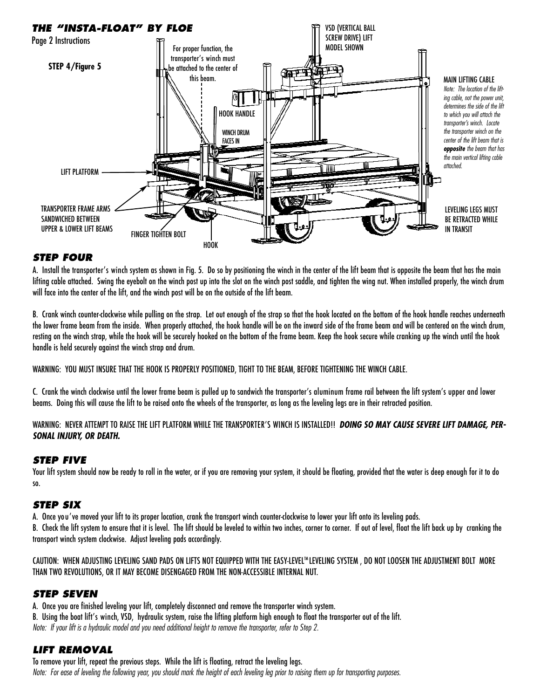

### **STEP FOUR**

A. Install the transporter's winch system as shown in Fig. 5. Do so by positioning the winch in the center of the lift beam that is opposite the beam that has the main lifting cable attached. Swing the eyebolt on the winch post up into the slot on the winch post saddle, and tighten the wing nut. When installed properly, the winch drum will face into the center of the lift, and the winch post will be on the outside of the lift beam.

B. Crank winch counter-clockwise while pulling on the strap. Let out enough of the strap so that the hook located on the bottom of the hook handle reaches underneath the lower frame beam from the inside. When properly attached, the hook handle will be on the inward side of the frame beam and will be centered on the winch drum, resting on the winch strap, while the hook will be securely hooked on the bottom of the frame beam. Keep the hook secure while cranking up the winch until the hook handle is held securely against the winch strap and drum.

WARNING: YOU MUST INSURE THAT THE HOOK IS PROPERLY POSITIONED, TIGHT TO THE BEAM, BEFORE TIGHTENING THE WINCH CABLE.

C. Crank the winch clockwise until the lower frame beam is pulled up to sandwich the transporter's aluminum frame rail between the lift system's upper and lower beams. Doing this will cause the lift to be raised onto the wheels of the transporter, as long as the leveling legs are in their retracted position.

WARNING: NEVER ATTEMPT TO RAISE THE LIFT PLATFORM WHILE THE TRANSPORTER'S WINCH IS INSTALLED!! **DOING SO MAY CAUSE SEVERE LIFT DAMAGE, PER-SONAL INJURY, OR DEATH.**

#### **STEP FIVE**

Your lift system should now be ready to roll in the water, or if you are removing your system, it should be floating, provided that the water is deep enough for it to do so.

#### **STEP SIX**

A. Once you've moved your lift to its proper location, crank the transport winch counter-clockwise to lower your lift onto its leveling pads.

B. Check the lift system to ensure that it is level. The lift should be leveled to within two inches, corner to corner. If out of level, float the lift back up by cranking the transport winch system clockwise. Adjust leveling pads accordingly.

CAUTION: WHEN ADJUSTING LEVELING SAND PADS ON LIFTS NOT EQUIPPED WITH THE EASY-LEVEL™LEVELING SYSTEM , DO NOT LOOSEN THE ADJUSTMENT BOLT MORE THAN TWO REVOLUTIONS, OR IT MAY BECOME DISENGAGED FROM THE NON-ACCESSIBLE INTERNAL NUT.

#### **STEP SEVEN**

A. Once you are finished leveling your lift, completely disconnect and remove the transporter winch system.

B. Using the boat lift's winch, VSD, hydraulic system, raise the lifting platform high enough to float the transporter out of the lift. Note: If your lift is a hydraulic model and you need additional height to remove the transporter, refer to Step 2.

#### **LIFT REMOVAL**

To remove your lift, repeat the previous steps. While the lift is floating, retract the leveling legs. Note: For ease of leveling the following year, you should mark the height of each leveling leg prior to raising them up for transporting purposes.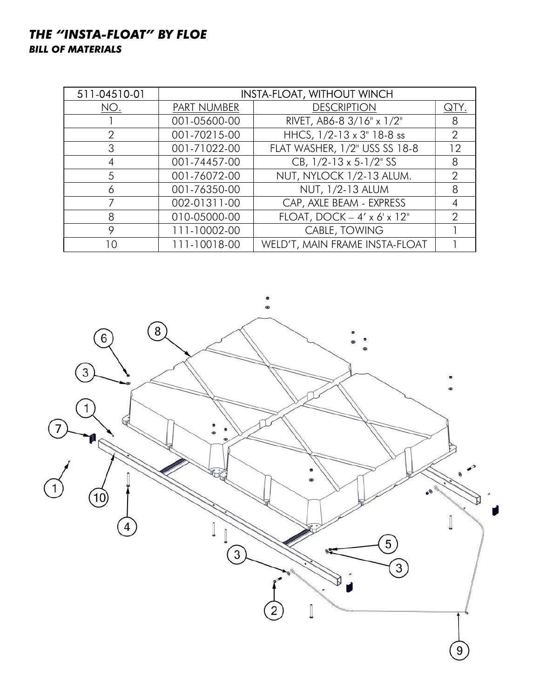# THE "INSTA-FLOAT" BY FLOE BILL OF MATERIALS

| 511-04510-01   | <b>INSTA-FLOAT, WITHOUT WINCH</b> |                                         |      |
|----------------|-----------------------------------|-----------------------------------------|------|
| NO.            | PART NUMBER                       | <b>DESCRIPTION</b>                      | QIY. |
|                | 001-05600-00                      | RIVET, AB6-8 3/16" x 1/2"               | 8    |
| $\overline{2}$ | 001-70215-00                      | HHCS, 1/2-13 x 3" 18-8 ss               | 2    |
| 3              | 001-71022-00                      | FLAT WASHER, 1/2" USS SS 18-8           | 12   |
| 4              | 001-74457-00                      | CB, $1/2 - 13 \times 5 - 1/2$ SS        | 8    |
| 5              | 001-76072-00                      | NUT, NYLOCK 1/2-13 ALUM.                | 2    |
| 6              | 001-76350-00                      | NUT, 1/2-13 ALUM                        | 8    |
|                | 002-01311-00                      | CAP, AXLE BEAM - EXPRESS                |      |
| 8              | 010-05000-00                      | FLOAT, DOCK $-4' \times 6' \times 12''$ | 2    |
| 9              | 111-10002-00                      | CABLE, TOWING                           |      |
| 10             | 111-10018-00                      | WELD'T, MAIN FRAME INSTA-FLOAT          |      |